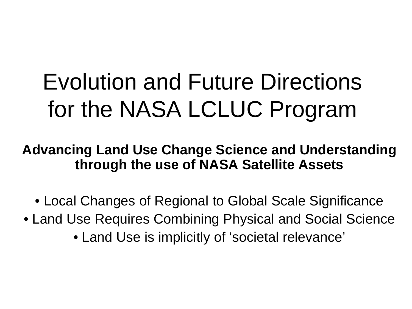### Evolution and Future Directions for the NASA LCLUC Program

**Advancing Land Use Change Science and Understanding through the use of NASA Satellite Assets**

- Local Changes of Regional to Global Scale Significance
- Land Use Requires Combining Physical and Social Science
	- Land Use is implicitly of 'societal relevance'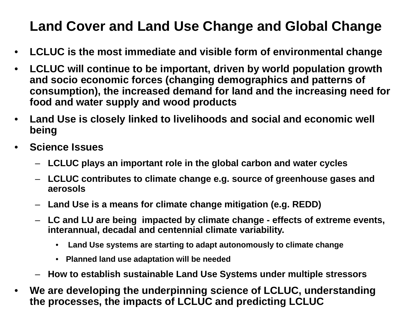#### **Land Cover and Land Use Change and Global Change**

- **LCLUC is the most immediate and visible form of environmental change**
- **LCLUC will continue to be important, driven by world population growth and socio economic forces (changing demographics and patterns of consumption), the increased demand for land and the increasing need for food and water supply and wood products**
- **Land Use is closely linked to livelihoods and social and economic well being**
- **Science Issues**
	- **LCLUC plays an important role in the global carbon and water cycles**
	- **LCLUC contributes to climate change e.g. source of greenhouse gases and aerosols**
	- **Land Use is a means for climate change mitigation (e.g. REDD)**
	- **LC and LU are being impacted by climate change - effects of extreme events, interannual, decadal and centennial climate variability.**
		- **Land Use systems are starting to adapt autonomously to climate change**
		- **Planned land use adaptation will be needed**
	- **How to establish sustainable Land Use Systems under multiple stressors**
- **We are developing the underpinning science of LCLUC, understanding the processes, the impacts of LCLUC and predicting LCLUC**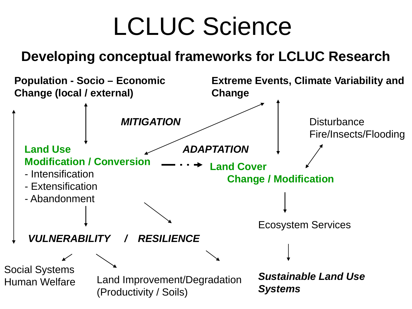### LCLUC Science

#### **Developing conceptual frameworks for LCLUC Research**

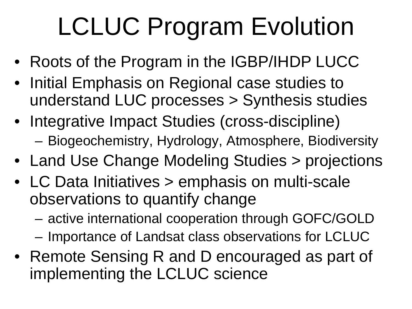# LCLUC Program Evolution

- Roots of the Program in the IGBP/IHDP LUCC
- Initial Emphasis on Regional case studies to understand LUC processes > Synthesis studies
- Integrative Impact Studies (cross-discipline)
	- Biogeochemistry, Hydrology, Atmosphere, Biodiversity
- Land Use Change Modeling Studies > projections
- LC Data Initiatives > emphasis on multi-scale observations to quantify change
	- active international cooperation through GOFC/GOLD
	- Importance of Landsat class observations for LCLUC
- Remote Sensing R and D encouraged as part of implementing the LCLUC science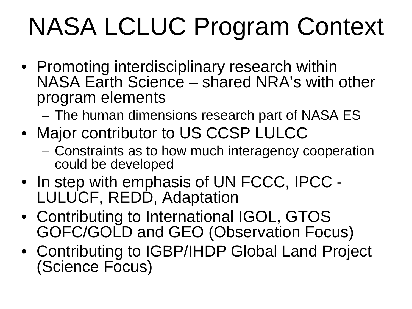# NASA LCLUC Program Context

- Promoting interdisciplinary research within NASA Earth Science – shared NRA's with other program elements
	- The human dimensions research part of NASA ES
- Major contributor to US CCSP LULCC
	- Constraints as to how much interagency cooperation could be developed
- In step with emphasis of UN FCCC, IPCC LULUCF, REDD, Adaptation
- Contributing to International IGOL, GTOS GOFC/GOLD and GEO (Observation Focus)
- Contributing to IGBP/IHDP Global Land Project (Science Focus)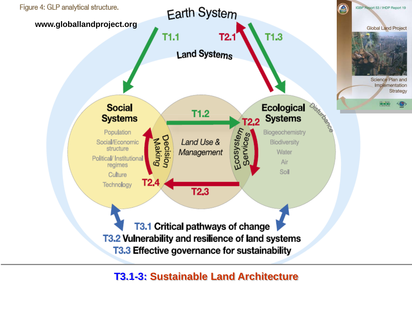

**T3.1-3: Sustainable Land Architecture**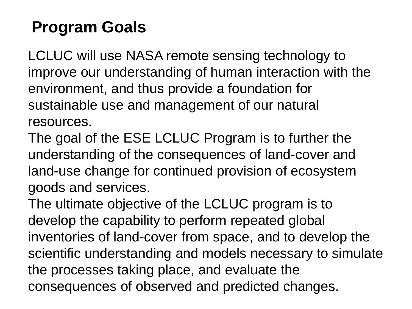#### **Program Goals**

LCLUC will use NASA remote sensing technology to improve our understanding of human interaction with the environment, and thus provide a foundation for sustainable use and management of our natural resources.

The goal of the ESE LCLUC Program is to further the understanding of the consequences of land-cover and land-use change for continued provision of ecosystem goods and services.

The ultimate objective of the LCLUC program is to develop the capability to perform repeated global inventories of land-cover from space, and to develop the scientific understanding and models necessary to simulate the processes taking place, and evaluate the consequences of observed and predicted changes.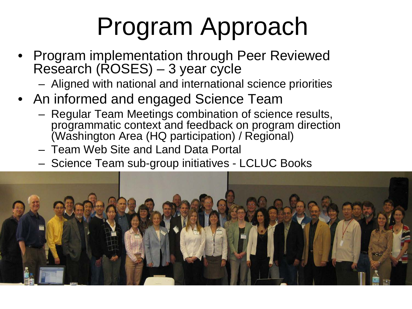### Program Approach

- Program implementation through Peer Reviewed Research (ROSES) - 3 year cycle
	- Aligned with national and international science priorities
- An informed and engaged Science Team
	- Regular Team Meetings combination of science results, programmatic context and feedback on program direction (Washington Area (HQ participation) / Regional)
	- Team Web Site and Land Data Portal
	- Science Team sub-group initiatives LCLUC Books

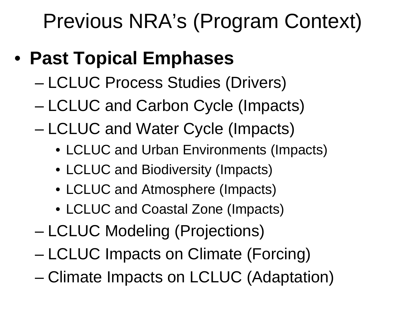Previous NRA's (Program Context)

- **Past Topical Emphases**
	- LCLUC Process Studies (Drivers)
	- LCLUC and Carbon Cycle (Impacts)
	- LCLUC and Water Cycle (Impacts)
		- LCLUC and Urban Environments (Impacts)
		- LCLUC and Biodiversity (Impacts)
		- LCLUC and Atmosphere (Impacts)
		- LCLUC and Coastal Zone (Impacts)
	- LCLUC Modeling (Projections)
	- LCLUC Impacts on Climate (Forcing)
	- Climate Impacts on LCLUC (Adaptation)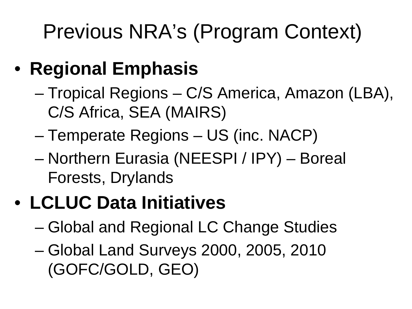### Previous NRA's (Program Context)

- **Regional Emphasis**
	- Tropical Regions C/S America, Amazon (LBA), C/S Africa, SEA (MAIRS)
	- Temperate Regions US (inc. NACP)
	- Northern Eurasia (NEESPI / IPY) Boreal Forests, Drylands

### • **LCLUC Data Initiatives**

- Global and Regional LC Change Studies
- Global Land Surveys 2000, 2005, 2010 (GOFC/GOLD, GEO)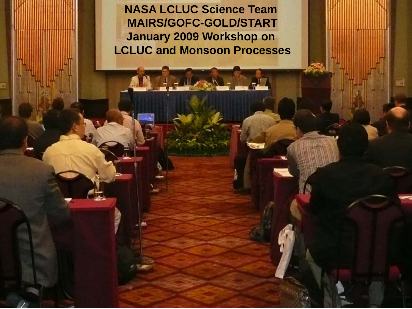**NASA LCLUC Science Team MAIRS/GOFC-GOLD/START January 2009 Workshop on LCLUC and Monsoon Processes**

**LCLUC is strengthening the Land Use Component of MAIRS (2001)**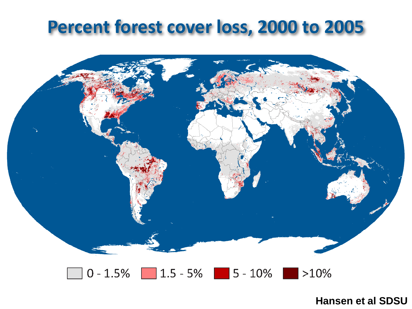### Percent forest cover loss, 2000 to 2005



#### $0 - 1.5\%$  1.5 - 5% 5 - 10%  $|>10\%$

**Hansen et al SDSU**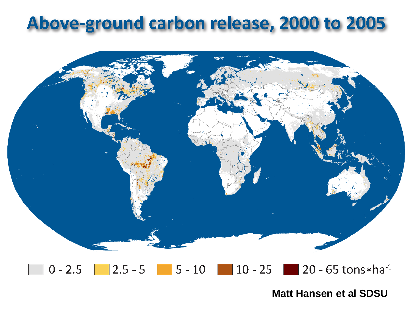### Above-ground carbon release, 2000 to 2005



#### $0 - 2.5$  2.5 - 5 5 - 10 10 - 25 20 - 65 tons\*ha<sup>-1</sup>

**Matt Hansen et al SDSU**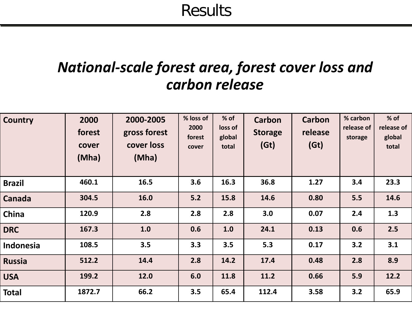Results

#### *National-scale forest area, forest cover loss and carbon release*

| <b>Country</b> | 2000<br>forest<br>cover<br>(Mha) | 2000-2005<br>gross forest<br>cover loss<br>(Mha) | % loss of<br>2000<br>forest<br>cover | % of<br>loss of<br>global<br>total | <b>Carbon</b><br><b>Storage</b><br>(Gt) | <b>Carbon</b><br>release<br>(Gt) | % carbon<br>release of<br>storage | $%$ of<br>release of<br>global<br>total |
|----------------|----------------------------------|--------------------------------------------------|--------------------------------------|------------------------------------|-----------------------------------------|----------------------------------|-----------------------------------|-----------------------------------------|
| <b>Brazil</b>  | 460.1                            | 16.5                                             | 3.6                                  | 16.3                               | 36.8                                    | 1.27                             | 3.4                               | 23.3                                    |
| <b>Canada</b>  | 304.5                            | 16.0                                             | 5.2                                  | 15.8                               | 14.6                                    | 0.80                             | 5.5                               | 14.6                                    |
| China          | 120.9                            | 2.8                                              | 2.8                                  | 2.8                                | 3.0                                     | 0.07                             | 2.4                               | 1.3                                     |
| <b>DRC</b>     | 167.3                            | 1.0                                              | 0.6                                  | 1.0                                | 24.1                                    | 0.13                             | 0.6                               | 2.5                                     |
| Indonesia      | 108.5                            | 3.5                                              | 3.3                                  | 3.5                                | 5.3                                     | 0.17                             | 3.2                               | 3.1                                     |
| <b>Russia</b>  | 512.2                            | 14.4                                             | 2.8                                  | 14.2                               | 17.4                                    | 0.48                             | 2.8                               | 8.9                                     |
| <b>USA</b>     | 199.2                            | 12.0                                             | 6.0                                  | 11.8                               | 11.2                                    | 0.66                             | 5.9                               | 12.2                                    |
| <b>Total</b>   | 1872.7                           | 66.2                                             | 3.5                                  | 65.4                               | 112.4                                   | 3.58                             | 3.2                               | 65.9                                    |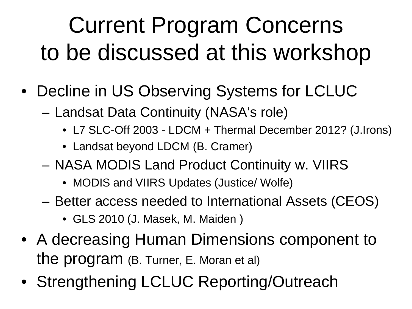### Current Program Concerns to be discussed at this workshop

- Decline in US Observing Systems for LCLUC
	- Landsat Data Continuity (NASA's role)
		- L7 SLC-Off 2003 LDCM + Thermal December 2012? (J.Irons)
		- Landsat beyond LDCM (B. Cramer)
	- NASA MODIS Land Product Continuity w. VIIRS
		- MODIS and VIIRS Updates (Justice/ Wolfe)
	- Better access needed to International Assets (CEOS)
		- GLS 2010 (J. Masek, M. Maiden )
- A decreasing Human Dimensions component to the program (B. Turner, E. Moran et al)
- Strengthening LCLUC Reporting/Outreach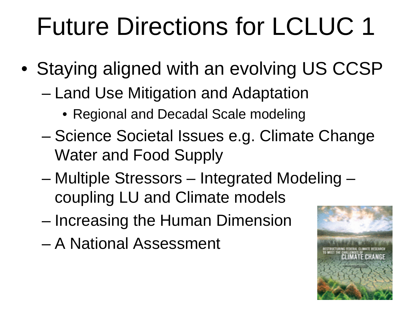# Future Directions for LCLUC 1

- Staying aligned with an evolving US CCSP
	- Land Use Mitigation and Adaptation
		- Regional and Decadal Scale modeling
	- Science Societal Issues e.g. Climate Change Water and Food Supply
	- Multiple Stressors Integrated Modeling coupling LU and Climate models
	- Increasing the Human Dimension
	- A National Assessment

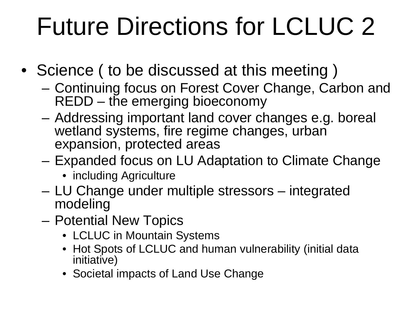# Future Directions for LCLUC 2

- Science ( to be discussed at this meeting )
	- Continuing focus on Forest Cover Change, Carbon and REDD – the emerging bioeconomy
	- Addressing important land cover changes e.g. boreal wetland systems, fire regime changes, urban expansion, protected areas
	- Expanded focus on LU Adaptation to Climate Change
		- including Agriculture
	- LU Change under multiple stressors integrated modeling
	- Potential New Topics
		- LCLUC in Mountain Systems
		- Hot Spots of LCLUC and human vulnerability (initial data initiative)
		- Societal impacts of Land Use Change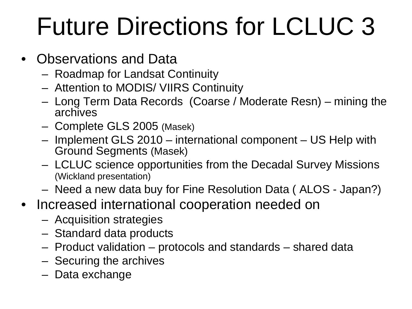# Future Directions for LCLUC 3

- Observations and Data
	- Roadmap for Landsat Continuity
	- Attention to MODIS/ VIIRS Continuity
	- Long Term Data Records (Coarse / Moderate Resn) mining the archives
	- Complete GLS 2005 (Masek)
	- Implement GLS 2010 international component US Help with Ground Segments (Masek)
	- LCLUC science opportunities from the Decadal Survey Missions (Wickland presentation)
	- Need a new data buy for Fine Resolution Data ( ALOS Japan?)
- Increased international cooperation needed on
	- Acquisition strategies
	- Standard data products
	- Product validation protocols and standards shared data
	- Securing the archives
	- Data exchange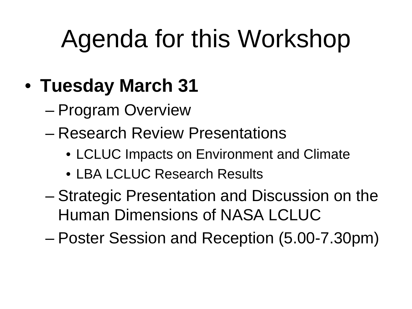# Agenda for this Workshop

- **Tuesday March 31**
	- Program Overview
	- Research Review Presentations
		- LCLUC Impacts on Environment and Climate
		- LBA LCLUC Research Results
	- Strategic Presentation and Discussion on the Human Dimensions of NASA LCLUC
	- Poster Session and Reception (5.00-7.30pm)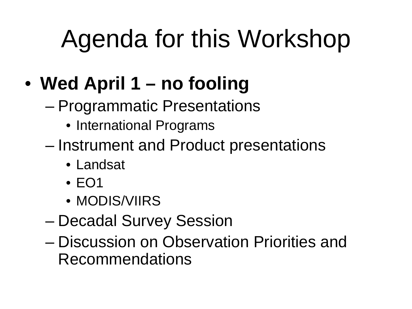# Agenda for this Workshop

### • **Wed April 1 – no fooling**

- Programmatic Presentations
	- International Programs
- Instrument and Product presentations
	- Landsat
	- EO1
	- MODIS/VIIRS
- Decadal Survey Session
- Discussion on Observation Priorities and Recommendations